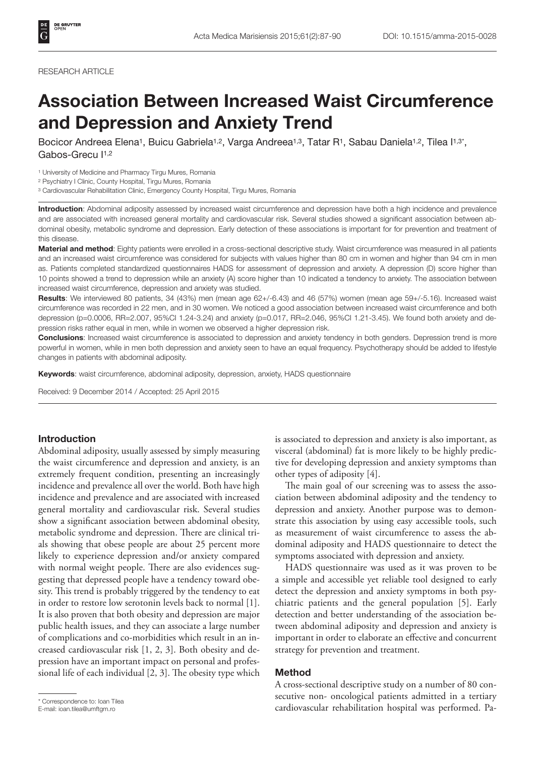#### RESEARCH ARTICLE

# Association Between Increased Waist Circumference and Depression and Anxiety Trend

Bocicor Andreea Elena<sup>1</sup>, Buicu Gabriela<sup>1,2</sup>, Varga Andreea<sup>1,3</sup>, Tatar R<sup>1</sup>, Sabau Daniela<sup>1,2</sup>, Tilea I<sup>1,3\*</sup>, Gabos-Grecu I<sup>1,2</sup>

1 University of Medicine and Pharmacy Tirgu Mures, Romania

2 Psychiatry I Clinic, County Hospital, Tirgu Mures, Romania

<sup>3</sup> Cardiovascular Rehabilitation Clinic, Emergency County Hospital, Tirgu Mures, Romania

Introduction: Abdominal adiposity assessed by increased waist circumference and depression have both a high incidence and prevalence and are associated with increased general mortality and cardiovascular risk. Several studies showed a significant association between abdominal obesity, metabolic syndrome and depression. Early detection of these associations is important for for prevention and treatment of this disease.

Material and method: Eighty patients were enrolled in a cross-sectional descriptive study. Waist circumference was measured in all patients and an increased waist circumference was considered for subjects with values higher than 80 cm in women and higher than 94 cm in men as. Patients completed standardized questionnaires HADS for assessment of depression and anxiety. A depression (D) score higher than 10 points showed a trend to depression while an anxiety (A) score higher than 10 indicated a tendency to anxiety. The association between increased waist circumference, depression and anxiety was studied.

Results: We interviewed 80 patients, 34 (43%) men (mean age 62+/-6.43) and 46 (57%) women (mean age 59+/-5.16). Increased waist circumference was recorded in 22 men, and in 30 women. We noticed a good association between increased waist circumference and both depression (p=0.0006, RR=2.007, 95%CI 1.24-3.24) and anxiety (p=0.017, RR=2.046, 95%CI 1.21-3.45). We found both anxiety and depression risks rather equal in men, while in women we observed a higher depression risk.

Conclusions: Increased waist circumference is associated to depression and anxiety tendency in both genders. Depression trend is more powerful in women, while in men both depression and anxiety seen to have an equal frequency. Psychotherapy should be added to lifestyle changes in patients with abdominal adiposity.

Keywords: waist circumference, abdominal adiposity, depression, anxiety, HADS questionnaire

Received: 9 December 2014 / Accepted: 25 April 2015

### Introduction

Abdominal adiposity, usually assessed by simply measuring the waist circumference and depression and anxiety, is an extremely frequent condition, presenting an increasingly incidence and prevalence all over the world. Both have high incidence and prevalence and are associated with increased general mortality and cardiovascular risk. Several studies show a significant association between abdominal obesity, metabolic syndrome and depression. There are clinical trials showing that obese people are about 25 percent more likely to experience depression and/or anxiety compared with normal weight people. There are also evidences suggesting that depressed people have a tendency toward obesity. This trend is probably triggered by the tendency to eat in order to restore low serotonin levels back to normal [1]. It is also proven that both obesity and depression are major public health issues, and they can associate a large number of complications and co-morbidities which result in an increased cardiovascular risk [1, 2, 3]. Both obesity and depression have an important impact on personal and professional life of each individual [2, 3]. The obesity type which

is associated to depression and anxiety is also important, as visceral (abdominal) fat is more likely to be highly predictive for developing depression and anxiety symptoms than other types of adiposity [4].

The main goal of our screening was to assess the association between abdominal adiposity and the tendency to depression and anxiety. Another purpose was to demonstrate this association by using easy accessible tools, such as measurement of waist circumference to assess the abdominal adiposity and HADS questionnaire to detect the symptoms associated with depression and anxiety.

HADS questionnaire was used as it was proven to be a simple and accessible yet reliable tool designed to early detect the depression and anxiety symptoms in both psychiatric patients and the general population [5]. Early detection and better understanding of the association between abdominal adiposity and depression and anxiety is important in order to elaborate an effective and concurrent strategy for prevention and treatment.

# Method

A cross-sectional descriptive study on a number of 80 consecutive non- oncological patients admitted in a tertiary correspondence to: Ioan Tilea<br>E-mail: ioan.tilea@umftgm.ro **and the correspondence to the correspondence** to the cardiovascular rehabilitation hospital was performed. Pa-

E-mail: ioan.tilea@umftgm.ro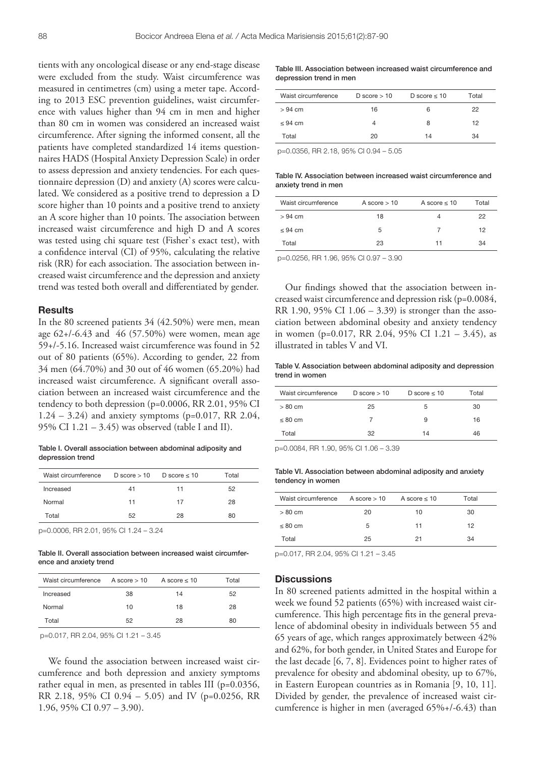tients with any oncological disease or any end-stage disease were excluded from the study. Waist circumference was measured in centimetres (cm) using a meter tape. According to 2013 ESC prevention guidelines, waist circumference with values higher than 94 cm in men and higher than 80 cm in women was considered an increased waist circumference. After signing the informed consent, all the patients have completed standardized 14 items questionnaires HADS (Hospital Anxiety Depression Scale) in order to assess depression and anxiety tendencies. For each questionnaire depression (D) and anxiety (A) scores were calculated. We considered as a positive trend to depression a D score higher than 10 points and a positive trend to anxiety an A score higher than 10 points. The association between increased waist circumference and high D and A scores was tested using chi square test (Fisher`s exact test), with a confidence interval (CI) of 95%, calculating the relative risk (RR) for each association. The association between increased waist circumference and the depression and anxiety trend was tested both overall and differentiated by gender.

## **Results**

In the 80 screened patients 34 (42.50%) were men, mean age 62+/-6.43 and 46 (57.50%) were women, mean age 59+/-5.16. Increased waist circumference was found in 52 out of 80 patients (65%). According to gender, 22 from 34 men (64.70%) and 30 out of 46 women (65.20%) had increased waist circumference. A significant overall association between an increased waist circumference and the tendency to both depression (p=0.0006, RR 2.01, 95% CI  $1.24 - 3.24$ ) and anxiety symptoms (p=0.017, RR 2.04, 95% CI 1.21 – 3.45) was observed (table I and II).

Table I. Overall association between abdominal adiposity and depression trend

| Waist circumference | $D$ score $> 10$ D score $\leq 10$ |    | Total |
|---------------------|------------------------------------|----|-------|
| Increased           | 41                                 | 11 | 52    |
| Normal              | 11                                 | 17 | 28    |
| Total               | 52                                 | 28 | 80    |

p=0.0006, RR 2.01, 95% CI 1.24 – 3.24

Table II. Overall association between increased waist circumference and anxiety trend

| Waist circumference $A score > 10$ A score $\leq 10$ |    |    | Total |
|------------------------------------------------------|----|----|-------|
| Increased                                            | 38 | 14 | 52    |
| Normal                                               | 10 | 18 | 28    |
| Total                                                | 52 | 28 | 80    |

p=0.017, RR 2.04, 95% CI 1.21 – 3.45

We found the association between increased waist circumference and both depression and anxiety symptoms rather equal in men, as presented in tables III (p=0.0356, RR 2.18, 95% CI 0.94 – 5.05) and IV (p=0.0256, RR 1.96, 95% CI 0.97 – 3.90).

Table III. Association between increased waist circumference and depression trend in men

| Waist circumference | D score $>10$ | D score $\leq 10$ | Total |
|---------------------|---------------|-------------------|-------|
| $> 94$ cm           | 16            | 6                 | 22    |
| < 94 cm             | Δ             | 8                 | 12    |
| Total               | 20            | 14                | 34    |

p=0.0356, RR 2.18, 95% CI 0.94 – 5.05

Table IV. Association between increased waist circumference and anxiety trend in men

| Waist circumference | A score $> 10$ | A score $\leq 10$ | Total |
|---------------------|----------------|-------------------|-------|
| $> 94$ cm           | 18             | 4                 | 22    |
| $\leq$ 94 cm        | 5              |                   | 12    |
| Total               | 23             | 11                | 34    |
|                     |                |                   |       |

p=0.0256, RR 1.96, 95% CI 0.97 – 3.90

Our findings showed that the association between increased waist circumference and depression risk (p=0.0084, RR 1.90, 95% CI 1.06 – 3.39) is stronger than the association between abdominal obesity and anxiety tendency in women (p=0.017, RR 2.04, 95% CI 1.21 – 3.45), as illustrated in tables V and VI.

#### Table V. Association between abdominal adiposity and depression trend in women

| Waist circumference | D score $>10$ | D score $\leq 10$ | Total |
|---------------------|---------------|-------------------|-------|
| $>80$ cm            | 25            | 5                 | 30    |
| $\leq 80$ cm        |               | 9                 | 16    |
| Total               | 32            | 14                | 46    |

p=0.0084, RR 1.90, 95% CI 1.06 – 3.39

Table VI. Association between abdominal adiposity and anxiety tendency in women

| Waist circumference $A score > 10$ A score $\leq 10$ |    |    | Total |
|------------------------------------------------------|----|----|-------|
| $>80$ cm                                             | 20 | 10 | 30    |
| < 80 cm                                              | 5  | 11 | 12    |
| Total                                                | 25 | 21 | 34    |

p=0.017, RR 2.04, 95% CI 1.21 – 3.45

#### **Discussions**

In 80 screened patients admitted in the hospital within a week we found 52 patients (65%) with increased waist circumference. This high percentage fits in the general prevalence of abdominal obesity in individuals between 55 and 65 years of age, which ranges approximately between 42% and 62%, for both gender, in United States and Europe for the last decade [6, 7, 8]. Evidences point to higher rates of prevalence for obesity and abdominal obesity, up to 67%, in Eastern European countries as in Romania [9, 10, 11]. Divided by gender, the prevalence of increased waist circumference is higher in men (averaged 65%+/-6.43) than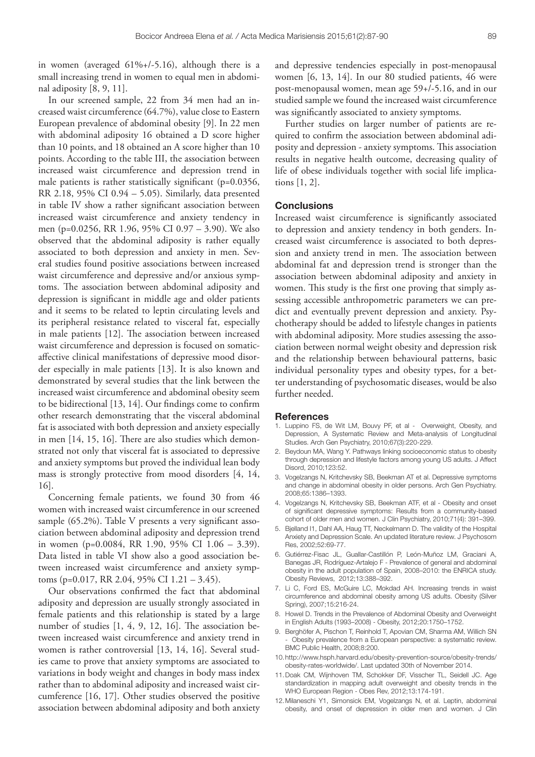in women (averaged  $61\% + (-5.16)$ , although there is a small increasing trend in women to equal men in abdominal adiposity [8, 9, 11].

In our screened sample, 22 from 34 men had an increased waist circumference (64.7%), value close to Eastern European prevalence of abdominal obesity [9]. In 22 men with abdominal adiposity 16 obtained a D score higher than 10 points, and 18 obtained an A score higher than 10 points. According to the table III, the association between increased waist circumference and depression trend in male patients is rather statistically significant (p=0.0356, RR 2.18, 95% CI 0.94 – 5.05). Similarly, data presented in table IV show a rather significant association between increased waist circumference and anxiety tendency in men (p=0.0256, RR 1.96, 95% CI 0.97 – 3.90). We also observed that the abdominal adiposity is rather equally associated to both depression and anxiety in men. Several studies found positive associations between increased waist circumference and depressive and/or anxious symptoms. The association between abdominal adiposity and depression is significant in middle age and older patients and it seems to be related to leptin circulating levels and its peripheral resistance related to visceral fat, especially in male patients [12]. The association between increased waist circumference and depression is focused on somaticaffective clinical manifestations of depressive mood disorder especially in male patients [13]. It is also known and demonstrated by several studies that the link between the increased waist circumference and abdominal obesity seem to be bidirectional [13, 14]. Our findings come to confirm other research demonstrating that the visceral abdominal fat is associated with both depression and anxiety especially in men [14, 15, 16]. There are also studies which demonstrated not only that visceral fat is associated to depressive and anxiety symptoms but proved the individual lean body mass is strongly protective from mood disorders [4, 14, 16].

Concerning female patients, we found 30 from 46 women with increased waist circumference in our screened sample (65.2%). Table V presents a very significant association between abdominal adiposity and depression trend in women (p=0.0084, RR 1.90, 95% CI 1.06 – 3.39). Data listed in table VI show also a good association between increased waist circumference and anxiety symptoms (p=0.017, RR 2.04, 95% CI 1.21 – 3.45).

Our observations confirmed the fact that abdominal adiposity and depression are usually strongly associated in female patients and this relationship is stated by a large number of studies [1, 4, 9, 12, 16]. The association between increased waist circumference and anxiety trend in women is rather controversial [13, 14, 16]. Several studies came to prove that anxiety symptoms are associated to variations in body weight and changes in body mass index rather than to abdominal adiposity and increased waist circumference [16, 17]. Other studies observed the positive association between abdominal adiposity and both anxiety

and depressive tendencies especially in post-menopausal women [6, 13, 14]. In our 80 studied patients, 46 were post-menopausal women, mean age 59+/-5.16, and in our studied sample we found the increased waist circumference was significantly associated to anxiety symptoms.

Further studies on larger number of patients are required to confirm the association between abdominal adiposity and depression - anxiety symptoms. This association results in negative health outcome, decreasing quality of life of obese individuals together with social life implications [1, 2].

#### **Conclusions**

Increased waist circumference is significantly associated to depression and anxiety tendency in both genders. Increased waist circumference is associated to both depression and anxiety trend in men. The association between abdominal fat and depression trend is stronger than the association between abdominal adiposity and anxiety in women. This study is the first one proving that simply assessing accessible anthropometric parameters we can predict and eventually prevent depression and anxiety. Psychotherapy should be added to lifestyle changes in patients with abdominal adiposity. More studies assessing the association between normal weight obesity and depression risk and the relationship between behavioural patterns, basic individual personality types and obesity types, for a better understanding of psychosomatic diseases, would be also further needed.

#### **References**

- 1. Luppino FS, de Wit LM, Bouvy PF, et al Overweight, Obesity, and Depression, A Systematic Review and Meta-analysis of Longitudinal Studies. Arch Gen Psychiatry, 2010;67(3):220-229.
- 2. Beydoun MA, Wang Y. Pathways linking socioeconomic status to obesity through depression and lifestyle factors among young US adults. J Affect Disord, 2010;123:52.
- 3. Vogelzangs N, Kritchevsky SB, Beekman AT et al. Depressive symptoms and change in abdominal obesity in older persons. Arch Gen Psychiatry. 2008;65:1386–1393.
- 4. Vogelzangs N, Kritchevsky SB, Beekman ATF, et al Obesity and onset of significant depressive symptoms: Results from a community-based cohort of older men and women. J Clin Psychiatry, 2010;71(4): 391–399.
- 5. Bjelland I1, Dahl AA, Haug TT, Neckelmann D. The validity of the Hospital Anxiety and Depression Scale. An updated literature review. J Psychosom Res, 2002;52:69-77.
- 6. Gutiérrez-Fisac JL, Guallar-Castillón P, León-Muñoz LM, Graciani A, Banegas JR, Rodríguez-Artalejo F - Prevalence of general and abdominal obesity in the adult population of Spain, 2008–2010: the ENRICA study. Obesity Reviews, 2012;13:388–392.
- 7. Li C, Ford ES, McGuire LC, Mokdad AH. Increasing trends in waist circumference and abdominal obesity among US adults. Obesity (Silver Spring), 2007;15:216-24.
- 8. Howel D. Trends in the Prevalence of Abdominal Obesity and Overweight in English Adults (1993–2008) - Obesity, 2012;20:1750–1752.
- 9. Berghöfer A, Pischon T, Reinhold T, Apovian CM, Sharma AM, Willich SN Obesity prevalence from a European perspective: a systematic review. BMC Public Health, 2008;8:200.
- 10.http://www.hsph.harvard.edu/obesity-prevention-source/obesity-trends/ obesity-rates-worldwide/. Last updated 30th of November 2014.
- 11.Doak CM, Wijnhoven TM, Schokker DF, Visscher TL, Seidell JC. Age standardization in mapping adult overweight and obesity trends in the WHO European Region - Obes Rev, 2012;13:174-191.
- 12.Milaneschi Y1, Simonsick EM, Vogelzangs N, et al. Leptin, abdominal obesity, and onset of depression in older men and women. J Clin